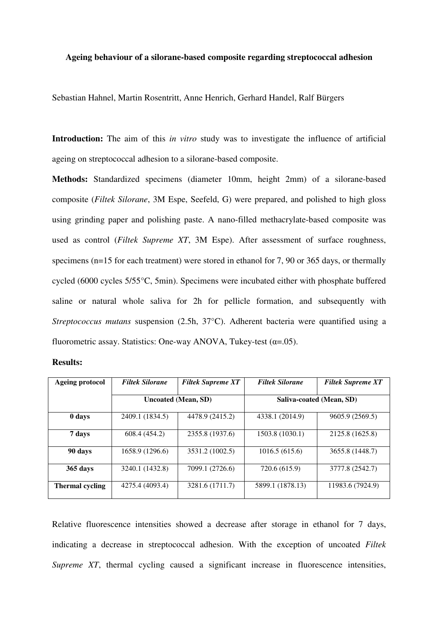## **Ageing behaviour of a silorane-based composite regarding streptococcal adhesion**

Sebastian Hahnel, Martin Rosentritt, Anne Henrich, Gerhard Handel, Ralf Bürgers

**Introduction:** The aim of this *in vitro* study was to investigate the influence of artificial ageing on streptococcal adhesion to a silorane-based composite.

**Methods:** Standardized specimens (diameter 10mm, height 2mm) of a silorane-based composite (*Filtek Silorane*, 3M Espe, Seefeld, G) were prepared, and polished to high gloss using grinding paper and polishing paste. A nano-filled methacrylate-based composite was used as control (*Filtek Supreme XT*, 3M Espe). After assessment of surface roughness, specimens (n=15 for each treatment) were stored in ethanol for 7, 90 or 365 days, or thermally cycled (6000 cycles 5/55°C, 5min). Specimens were incubated either with phosphate buffered saline or natural whole saliva for 2h for pellicle formation, and subsequently with *Streptococcus mutans* suspension (2.5h, 37°C). Adherent bacteria were quantified using a fluorometric assay. Statistics: One-way ANOVA, Tukey-test  $(\alpha = .05)$ .

| <b>Results:</b> |
|-----------------|
|-----------------|

| Ageing protocol | <b>Filtek Silorane</b> | <b>Filtek Supreme XT</b> | <b>Filtek Silorane</b>   | <b>Filtek Supreme XT</b> |
|-----------------|------------------------|--------------------------|--------------------------|--------------------------|
|                 | Uncoated (Mean, SD)    |                          | Saliva-coated (Mean, SD) |                          |
| 0 days          | 2409.1 (1834.5)        | 4478.9 (2415.2)          | 4338.1 (2014.9)          | 9605.9 (2569.5)          |
| 7 days          | 608.4 (454.2)          | 2355.8 (1937.6)          | 1503.8 (1030.1)          | 2125.8 (1625.8)          |
| 90 days         | 1658.9 (1296.6)        | 3531.2 (1002.5)          | 1016.5(615.6)            | 3655.8 (1448.7)          |
| 365 days        | 3240.1 (1432.8)        | 7099.1 (2726.6)          | 720.6 (615.9)            | 3777.8 (2542.7)          |
| Thermal cycling | 4275.4 (4093.4)        | 3281.6 (1711.7)          | 5899.1 (1878.13)         | 11983.6 (7924.9)         |

Relative fluorescence intensities showed a decrease after storage in ethanol for 7 days, indicating a decrease in streptococcal adhesion. With the exception of uncoated *Filtek Supreme XT*, thermal cycling caused a significant increase in fluorescence intensities,